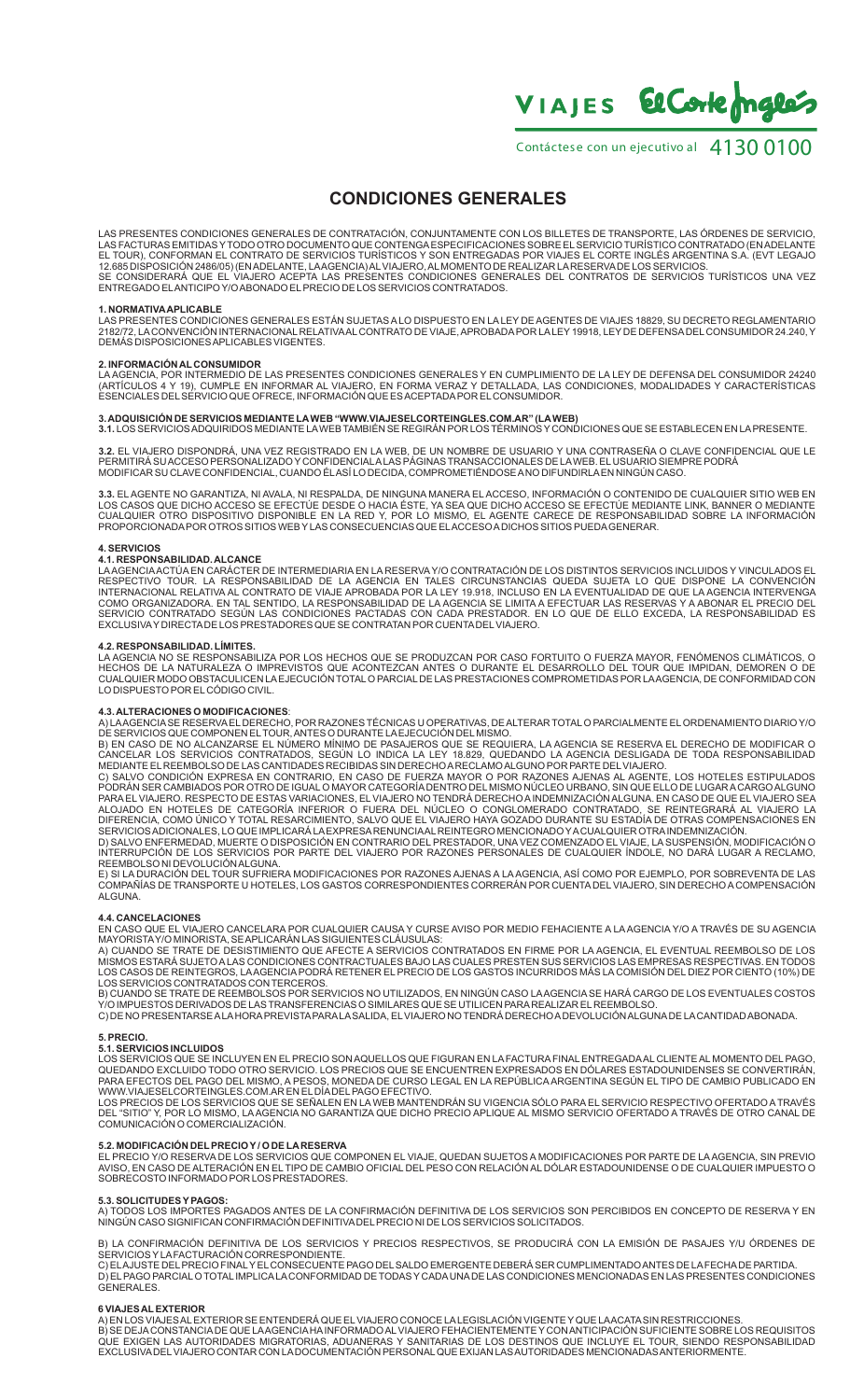VIAJES El Corte males

Contáctes e con un ejecutivo al 4130 0100

## **CONDICIONES GENERALES**

LAS PRESENTES CONDICIONES GENERALES DE CONTRATACIÓN, CONJUNTAMENTE CON LOS BILLETES DE TRANSPORTE, LAS ÓRDENES DE SERVICIO,<br>LAS FACTURAS EMITIDAS Y TODO OTRO DOCUMENTO QUE CONTENGA ESPECIFICACIONES SOBRE EL SERVICIO TURÍST EL TOUR), CONFORMAN EL CONTRATO DE SERVICIOS TURISTICOS Y SON ENTREGADAS POR VIAJES EL CORTE INGLÉS ARGENTINA S.A. (EVT LEGAJO<br>12.685 DISPOSICIÓN 2486/05) (ENADELANTE, LAAGENCIA) AL VIAJERO, AL MOMENTO DE REALIZAR LA RESER SE CONSIDERARÁ QUE EL VIAJERO ACEPTA LAS PRESENTES CONDICIONES GENERALES DEL CONTRATOS DE SERVICIOS TURÍSTICOS UNA VEZ ENTREGADO ELANTICIPO Y/O ABONADO ELPRECIO DE LOS SERVICIOS CONTRATADOS.

### **1. NORMATIVAAPLICABLE**

LAS PRESENTES CONDICIONES GENERALES ESTÁN SUJETAS A LO DISPUESTO EN LA LEY DE AGENTES DE VIAJES 18829, SU DECRETO REGLAMENTARIO<br>2182/72, LA CONVENCIÓN INTERNACIONAL RELATIVAAL CONTRATO DE VIAJE, APROBADA POR LA LEY 19918,

**2. INFORMACIÓN AL CONSUMIDOR**  LAAGENCIA, POR INTERMEDIO DE LAS PRESENTES CONDICIONES GENERALES Y EN CUMPLIMIENTO DE LA LEY DE DEFENSA DEL CONSUMIDOR 24240 (ARTÍCULOS 4 Y 19), CUMPLE EN INFORMAR AL VIAJERO, EN FORMA VERAZ Y DETALLADA, LAS CONDICIONES, MODALIDADES Y CARACTERÍSTICAS<br>ESENCIALES DEL SERVICIO QUE OFRECE, INFORMACIÓN QUE ES ACEPTADA POR EL CONSUMIDOR.

# 3**. ADQUISICION DE SERVICIOS MEDIANTE LA WEB "WWW.VIAJESELCORTEINGLES.COM.AR" (LA WEB)**<br>**3.1.** LOS SERVICIOS ADQUIRIDOS MEDIANTE LA WEB TAMBIÉN SE REGIRÁN POR LOS TÉRMINOS Y CONDICIONES QUE SE ESTABLECEN EN LA PRESENTE.

**3.2.** EL VIAJERO DISPONDRÁ, UNA VEZ REGISTRADO EN LA WEB, DE UN NOMBRE DE USUARIO Y UNA CONTRASEÑA O CLAVE CONFIDENCIAL QUE LE PERMITIRA SU ACCESO PERSONALIZADO Y CONFIDENCIALA LAS PAGINAS TRANSACCIONALES DE LA WEB. EL USUARIO SIEMPRE PODRA<br>MODIFICAR SU CLAVE CONFIDENCIAL, CUANDO ÉLASÍ LO DECIDA, COMPROMETIÉNDOSE A NO DIFUNDIRLA EN NINGÚN CASO.

3.3. ELAGENTE NO GARANTIZA, NI AVALA, NI RESPALDA, DE NINGUNA MANERA ELACCESO, INFORMACION O CONTENIDO DE CUALQUIER SITIO WEB EN<br>LOS CASOS QUE DICHO ACCESO SE EFECTÚE DESDE O HACIA ÉSTE, YA SEA QUE DICHO ACCESO SE EFECTÚE

## **4. SERVICIOS**

**4.1. RESPONSABILIDAD. ALCANCE**  LAAGENCIAACTÚA EN CARÁCTER DE INTERMEDIARIA EN LA RESERVAY/O CONTRATACIÓN DE LOS DISTINTOS SERVICIOS INCLUIDOS Y VINCULADOS EL RESPECTIVO TOUR. LA RESPONSABILIDAD DE LA AGENCIA EN TALES CIRCUNSTANCIAS QUEDA SUJETA LO QUE DISPONE LA CONVENCION<br>INTERNACIONAL RELATIVA AL CONTRATO DE VIAJE APROBADA POR LA LEY 19.918, INCLUSO EN LA EVENTUALIDAD DE QUE EXCLUSIVAY DIRECTADE LOS PRESTADORES QUE SE CONTRATAN POR CUENTADELVIAJERO.

**4.2. RESPONSABILIDAD. LIMITES.**<br>LA AGENCIA NO SE RESPONSABILIZA POR LOS HECHOS QUE SE PRODUZCAN POR CASO FORTUITO O FUERZA MAYOR, FENÓMENOS CLIMÁTICOS, O<br>HECHOS DE LA NATURALEZA O IMPREVISTOS QUE ACONTEZCAN ANTES O DURANT LO DISPUESTO POR ELCÓDIGO CIVIL.

**4.3. ALTERACIONES O MODIFICACIONES:**<br>A) LAAGENCIA SE RESERVA EL DERECHO, POR RAZONES TÉCNICAS U OPERATIVAS, DE ALTERAR TOTAL O PARCIALMENTE EL ORDENAMIENTO DIARIO Y/O<br>DE SERVICIOS QUE COMPONEN EL DERECHO, POR RAZONES TÉCN ALOJADO EN HOTELES DE CATEGORIA INFERIOR O FUERA DEL NÚCLEO O CONGLOMERADO CONTRATADO, SE REINTEGRARA AL VIAJERO LA<br>DIFERENCIA, COMO ÚNICO Y TOTAL RESARCIMIENTO, SALVO QUE EL VIAJERO HAYA GOZADO DURANTE SU ESTADÍA DE OTRAS

D) SALVO ENFERMEDAD, MUERTE O DISPOSICIÓN EN CONTRARIO DEL PRESTADOR, UNA VEZ COMENZADO EL VIAJE, LA SUSPENSIÓN, MODIFICACIÓN O<br>INTERRUPCIÓN DE LOS SERVICIOS POR PARTE DEL VIAJERO POR RAZONES PERSONALES DE CUALQUIER ÍNDOLE

COMPAÑÍAS DE TRANSPORTE U HOTELES, LOS GASTOS CORRESPONDIENTES CORRERÁN POR CUENTA DEL VIAJERO, SIN DERECHO A COMPENSACIÓN ALGUNA.

**4.4. CANCELACIONES**<br>EN CASO QUE EL VIAJERO CANCELARA POR CUALQUIER CAUSA Y CURSE AVISO POR MEDIO FEHACIENTE A LA AGENCIA Y/O A TRAVÉS DE SU AGENCIA<br>MAYORISTA Y/O MINORISTA, SE APLICARÁN LAS SIGUIENTES CLÁUSULAS:

A) CUANDO SE TRATE DE DESISTIMIENTO QUE AFECTE A SERVICIOS CONTRATADOS EN FIRME POR LA AGENCIA, EL EVENTUAL REEMBOLSO DE LOS<br>MISMOS ESTARÁ SUJETO ALAS CONDICIONES CONTRACTUALES BAJO LAS CUALES PRESTEN SUS SERVICIOS LAS EMP

B) CUANDO SE TRATE DE REEMBOLSOS POR SERVICIOS NO UTILIZADOS, EN NINGÚN CASO LA AGENCIA SE HARÁ CARGO DE LOS EVENTUALES COSTOS<br>Y/O IMPUESTOS DERIVADOS DE LAS TRANSFERENCIAS O SIMILARES QUE SE UTILICEN PARA REALIZAR EL REEM C) DE NO PRESENTARSE ALAHORAPREVISTAPARALASALIDA, ELVIAJERO NO TENDRÁ DERECHO ADEVOLUCIÓN ALGUNADE LACANTIDAD ABONADA.

5. PRECIO.<br>5.1. SERVICIOS INCLUIDOS<br>LOS SERVICIOS QUE SE INCLUYEN EN EL PRECIO SON AQUELLOS QUE FIGURAN EN LA FACTURA FINAL ENTREGADAAL CLIENTE AL MOMENTO DEL PAGO,<br>LOS SERVICIOS QUE SE INCLUYEN EN EL PRECIO SON AQUELLOS Q

COMUNICACIÓN O COMERCIALIZACIÓN.

**5.2. MODIFICACIÓN DEL PRECIO Y / O DE LA RESERVA**<br>EL PRECIO Y/O RESERVA DE LOS SERVICIOS QUE COMPONEN EL VIAJE, QUEDAN SUJETOS A MODIFICACIONES POR PARTE DE LA AGENCIA, SIN PREVIO<br>AVISO, EN CASO DE ALTERACIÓN EN EL TIPO D SOBRECOSTO INFORMADO POR LOS PRESTADORES.

**5.3. SOLICITUDES Y PAGOS:**<br>A) TODOS LOS IMPORTES PAGADOS ANTES DE LA CONFIRMACIÓN DEFINITIVA DE LOS SERVICIOS SON PERCIBIDOS EN CONCEPTO DE RESERVA Y EN NINGÚN CASO SIGNIFICAN CONFIRMACIÓN DEFINITIVADELPRECIO NI DE LOS SERVICIOS SOLICITADOS.

B) LA CONFIRMACIÓN DEFINITIVA DE LOS SERVICIOS Y PRECIOS RESPECTIVOS, SE PRODUCIRÁ CON LA EMISIÓN DE PASAJES Y/U ÓRDENES DE SERVICIOS Y LA FACTURACIÓN CORRESPONDIENTE.<br>C) ELAJUSTE DEL PRECIO FINAL Y EL CONSECUENTE PAGO DEL SALDO EMERGENTE DEBERÁ SER CUMPLIMENTADO ANTES DE LA FECHA DE PARTIDA.

D) ELPAGO PARCIALO TOTALIMPLICALACONFORMIDAD DE TODAS Y CADAUNADE LAS CONDICIONES MENCIONADAS EN LAS PRESENTES CONDICIONES GENERALES.

**6 VIAJES AL EXTERIOR**<br>A) EN LOS VIAJES AL EXTERIOR SE ENTENDERÁ QUE EL VIAJERO CONOCE LA LEGISLACIÓN VIGENTE Y QUE LA ACATA SIN RESTRICCIONES.<br>B) SE DEJA CONSTANCIA DE QUE LA AGENCIA HA INFORMADO AL VIAJERO FEHACIENTEMENT EXCLUSIVADELVIAJERO CONTAR CON LADOCUMENTACIÓN PERSONALQUE EXIJAN LAS AUTORIDADES MENCIONADAS ANTERIORMENTE.